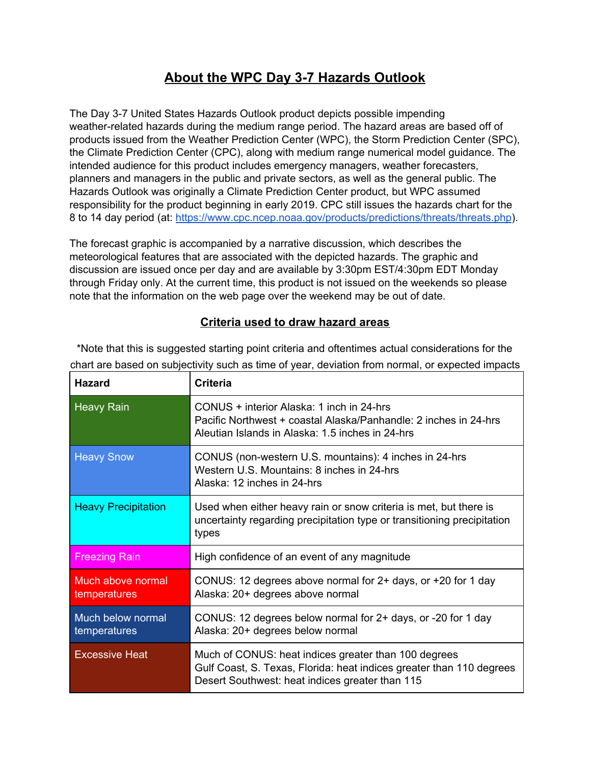## **About the WPC Day 3-7 Hazards Outlook**

The Day 3-7 United States Hazards Outlook product depicts possible impending weather-related hazards during the medium range period. The hazard areas are based off of products issued from the Weather Prediction Center (WPC), the Storm Prediction Center (SPC), the Climate Prediction Center (CPC), along with medium range numerical model guidance. The intended audience for this product includes emergency managers, weather forecasters, planners and managers in the public and private sectors, as well as the general public. The Hazards Outlook was originally a Climate Prediction Center product, but WPC assumed responsibility for the product beginning in early 2019. CPC still issues the hazards chart for the 8 to 14 day period (at: <https://www.cpc.ncep.noaa.gov/products/predictions/threats/threats.php>).

The forecast graphic is accompanied by a narrative discussion, which describes the meteorological features that are associated with the depicted hazards. The graphic and discussion are issued once per day and are available by 3:30pm EST/4:30pm EDT Monday through Friday only. At the current time, this product is not issued on the weekends so please note that the information on the web page over the weekend may be out of date.

## **Criteria used to draw hazard areas**

| <b>Hazard</b>                            | <b>Criteria</b>                                                                                                                                                                 |
|------------------------------------------|---------------------------------------------------------------------------------------------------------------------------------------------------------------------------------|
| <b>Heavy Rain</b>                        | CONUS + interior Alaska: 1 inch in 24-hrs<br>Pacific Northwest + coastal Alaska/Panhandle: 2 inches in 24-hrs<br>Aleutian Islands in Alaska: 1.5 inches in 24-hrs               |
| <b>Heavy Snow</b>                        | CONUS (non-western U.S. mountains): 4 inches in 24-hrs<br>Western U.S. Mountains: 8 inches in 24-hrs<br>Alaska: 12 inches in 24-hrs                                             |
| <b>Heavy Precipitation</b>               | Used when either heavy rain or snow criteria is met, but there is<br>uncertainty regarding precipitation type or transitioning precipitation<br>types                           |
| <b>Freezing Rain</b>                     | High confidence of an event of any magnitude                                                                                                                                    |
| <b>Much above normal</b><br>temperatures | CONUS: 12 degrees above normal for 2+ days, or +20 for 1 day<br>Alaska: 20+ degrees above normal                                                                                |
| Much below normal<br>temperatures        | CONUS: 12 degrees below normal for 2+ days, or -20 for 1 day<br>Alaska: 20+ degrees below normal                                                                                |
| <b>Excessive Heat</b>                    | Much of CONUS: heat indices greater than 100 degrees<br>Gulf Coast, S. Texas, Florida: heat indices greater than 110 degrees<br>Desert Southwest: heat indices greater than 115 |

\*Note that this is suggested starting point criteria and oftentimes actual considerations for the chart are based on subjectivity such as time of year, deviation from normal, or expected impacts